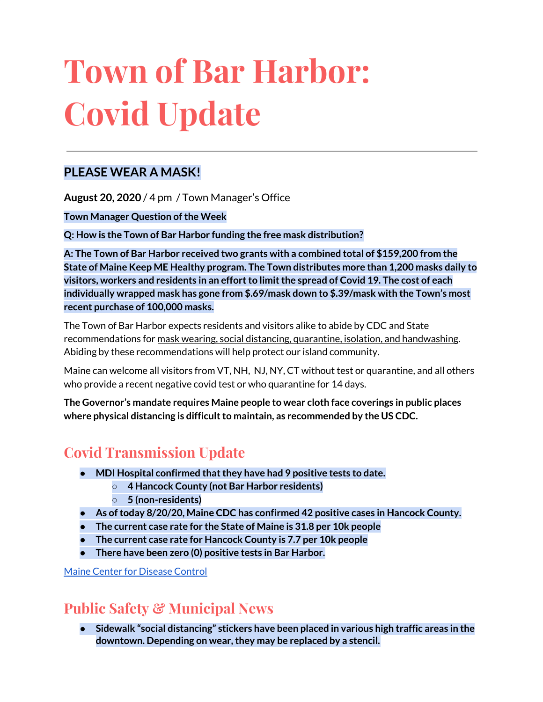# **Town of Bar Harbor: Covid Update**

#### **PLEASE WEAR A MASK!**

**August 20, 2020** / 4 pm / Town Manager's Office

**Town Manager Question ofthe Week**

**Q: How is the Town of Bar Harbor funding the free mask distribution?**

**A: The Town of Bar Harbor received two grants with a combined total of \$159,200 from the State of Maine Keep ME Healthy program. The Town distributes more than 1,200 masks daily to visitors, workers and residents in an effortto limitthe spread of Covid 19. The cost of each individually wrapped mask has gone from \$.69/mask down to \$.39/mask with the Town's most recent purchase of 100,000 masks.**

The Town of Bar Harbor expects residents and visitors alike to abide by CDC and State recommendations for mask wearing, social distancing, quarantine, isolation, and handwashing. Abiding by these recommendations will help protect our island community.

Maine can welcome all visitors from VT, NH, NJ, NY, CT without test or quarantine, and all others who provide a recent negative covid test or who quarantine for 14 days.

**The Governor's mandate requires Maine people to wear cloth face coverings in public places where physical distancing is difficultto maintain, as recommended by the US CDC.**

## **Covid Transmission Update**

- **● MDI Hospital confirmed thatthey have had 9 positive tests to date.**
	- **○ 4 Hancock County (not Bar Harbor residents)**
	- **○ 5 (non-residents)**
- **● As oftoday 8/20/20, Maine CDC has confirmed 42 positive cases in Hancock County.**
- **● The current case rate for the State of Maine is 31.8 per 10k people**
- **● The current case rate for Hancock County is 7.7 per 10k people**
- **There have been zero (0) positive tests in Bar Harbor.**

Maine Center for [Disease](https://www.maine.gov/dhhs/mecdc/infectious-disease/epi/airborne/coronavirus.shtml) Control

## **Public Safety & Municipal News**

**● Sidewalk "social distancing" stickers have been placed in various high traffic areas in the downtown. Depending on wear,they may be replaced by a stencil.**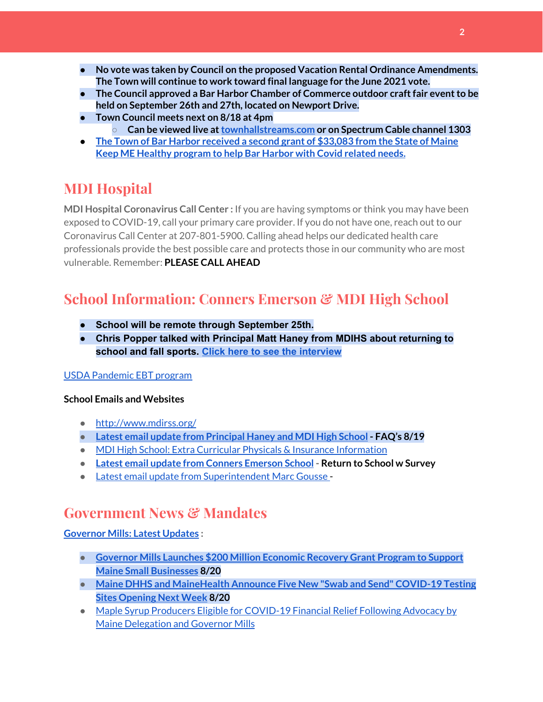- **● No vote was taken by Council on the proposed Vacation Rental Ordinance Amendments. The Town will continue to work toward final language for the June 2021 vote.**
- **● The Council approved a Bar Harbor Chamber of Commerce outdoor craftfair eventto be held on September 26th and 27th, located on Newport Drive.**
- **● Town Council meets next on 8/18 at 4pm ○ Can be viewed live at[townhallstreams.com](https://townhallstreams.com/) or on Spectrum Cable channel 1303**
- **● The Town of Bar Harbor [received](https://www.maine.gov/governor/mills/news/mills-administration-approves-second-round-covid-19-prevention-and-protection-awards-under) a second grant of \$33,083 from the State of Maine Keep ME Healthy [program](https://www.maine.gov/governor/mills/news/mills-administration-approves-second-round-covid-19-prevention-and-protection-awards-under) to help Bar Harbor with Covid related needs.**

# **MDI Hospital**

**MDI Hospital Coronavirus Call Center :** If you are having symptoms or think you may have been exposed to COVID-19, call your primary care provider. If you do not have one, reach out to our Coronavirus Call Center at 207-801-5900. Calling ahead helps our dedicated health care professionals provide the best possible care and protects those in our community who are most vulnerable. Remember: **PLEASE CALL AHEAD**

# **School Information: Conners Emerson & MDI High School**

- **● School will be remote through September 25th.**
- **● Chris Popper talked with Principal Matt Haney from MDIHS about returning to school and fall sports. Click here to see the [interview](https://wdea.am/matt-haney-interview-august-20-video/?trackback=fbshare_mobile&fbclid=IwAR1D7TCctiFXeWQAOz7eUKOgnhS27wwAHTcza1sCsjWt_GcsSERBEIeL3pM)**

#### USDA [Pandemic](http://track.spe.schoolmessenger.com/f/a/j6GQx4nFl3Rld4Q68tYCuA~~/AAAAAQA~/RgRgu5_JP0SlaHR0cHM6Ly9tYWlsLmdvb2dsZS5jb20vbWFpbC91LzAvP3RhYj1jbSNzZWFyY2gvZnJvbSUzQStiZWVzbGV5L1doY3RLSlZyQ0NUS1JmUldCTFdkUVpGZ2pUVlhNdkRwUVpIa2NoRkJCc3NGcHJxZEtnWFF3S05Tamt3R1RxTFpaS21wTkRHP3Byb2plY3Rvcj0xJm1lc3NhZ2VQYXJ0SWQ9MC4xVwdzY2hvb2xtQgoARkls2l72Ls-jUhhiYXJoYXJib3JqZXdlbEBnbWFpbC5jb21YBAAAAAE~) EBT program

#### **School Emails and Websites**

- <http://www.mdirss.org/>
- **● Latest email update from [Principal](https://docs.google.com/document/d/1OKDsYNtOgV0FI9xAcXwQvenOKLV0S2vBg1o5jtu5CrE/edit?usp=sharing) Haney and MDI High School - FAQ's 8/19**
- MDI High School: Extra Curricular Physicals & Insurance [Information](https://wdea.am/mdihs-extracurricular-activity-physicals-and-insurance-information/?trackback=fbshare_mobile&fbclid=IwAR0wxPd824oG1ATLwkeI9s9n2sdpvEiyxeJGgB_mh2BlEJNT_AXiMynkobs)
- **● Latest email update from Conners [Emerson](https://docs.google.com/document/d/1v3pgkG6Q-9S3gisuUIj4etPVDwgBKl4P00JBkvZr-kk/edit?usp=sharing) School - Return to School w Survey**
- Latest email update from [Superintendent](https://docs.google.com/document/d/1fzeCbc8gpTSKmUaDoQH1Avx5PVl-h0reFphXrT1eUNA/edit?usp=sharing) Marc Gousse -

### **Government News & Mandates**

#### **[Governor](https://www.maine.gov/governor/mills/) Mills: Latest Updates :**

- **● Governor Mills Launches \$200 Million [Economic](https://www.maine.gov/governor/mills/news/governor-mills-launches-200-million-economic-recovery-grant-program-support-maine-small) Recovery Grant Program to Support Maine Small [Businesses](https://www.maine.gov/governor/mills/news/governor-mills-launches-200-million-economic-recovery-grant-program-support-maine-small) 8/20**
- **Maine DHHS and [MaineHealth](https://www.maine.gov/governor/mills/news/maine-dhhs-and-mainehealth-announce-five-new-swab-and-send-covid-19-testing-sites-opening-next) Announce Five New "Swab and Send" COVID-19 Testing Sites [Opening](https://www.maine.gov/governor/mills/news/maine-dhhs-and-mainehealth-announce-five-new-swab-and-send-covid-19-testing-sites-opening-next) Next Week 8/20**
- Maple Syrup Producers Eligible for [COVID-19](https://www.maine.gov/governor/mills/news/maple-syrup-producers-eligible-covid-19-financial-relief-following-advocacy-maine-delegation) Financial Relief Following Advocacy by Maine [Delegation](https://www.maine.gov/governor/mills/news/maple-syrup-producers-eligible-covid-19-financial-relief-following-advocacy-maine-delegation) and Governor Mills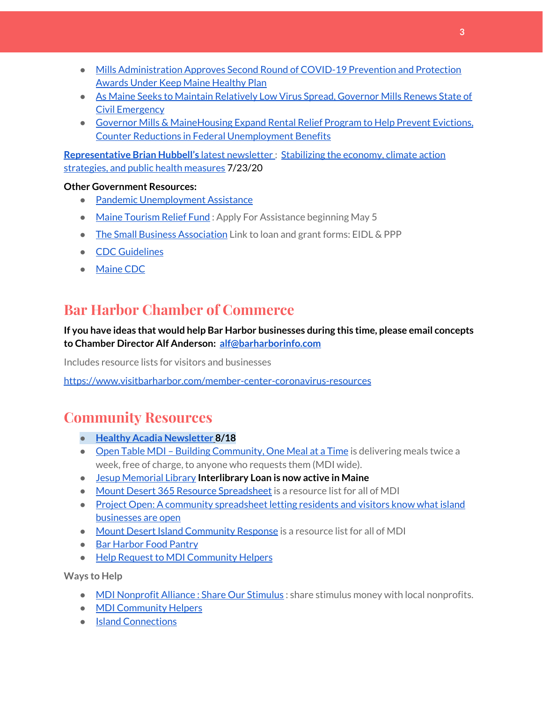- Mills [Administration](https://www.maine.gov/governor/mills/news/mills-administration-approves-second-round-covid-19-prevention-and-protection-awards-under) Approves Second Round of COVID-19 Prevention and Protection Awards Under Keep Maine [Healthy](https://www.maine.gov/governor/mills/news/mills-administration-approves-second-round-covid-19-prevention-and-protection-awards-under) Plan
- As Maine Seeks to Maintain [Relatively](https://www.maine.gov/governor/mills/news/maine-seeks-maintain-relatively-low-virus-spread-governor-mills-renews-state-civil-emergency) Low Virus Spread, Governor Mills Renews State of Civil [Emergency](https://www.maine.gov/governor/mills/news/maine-seeks-maintain-relatively-low-virus-spread-governor-mills-renews-state-civil-emergency)
- Governor Mills & [MaineHousing](https://www.maine.gov/governor/mills/news/governor-mills-mainehousing-expand-rental-relief-program-help-prevent-evictions-counter) Expand Rental Relief Program to Help Prevent Evictions, Counter Reductions in Federal [Unemployment](https://www.maine.gov/governor/mills/news/governor-mills-mainehousing-expand-rental-relief-program-help-prevent-evictions-counter) Benefits

**[Representative](http://www.rephubbell.com/) Brian Hubbell's** latest [newsletter](http://www.rephubbell.com/) : [Stabilizing](http://www.rephubbell.com/2020/07/23/stabilizing-the-economy-climate-action-strategies-and-public-health-measures/) the economy, climate action [strategies,](http://www.rephubbell.com/2020/07/23/stabilizing-the-economy-climate-action-strategies-and-public-health-measures/) and public health measures 7/23/20

#### **Other Government Resources:**

- Pandemic [Unemployment](https://www.maine.gov/unemployment/pua/) Assistance
- Maine [Tourism](https://www.mainetourism.com/maine-tourism-relief-fund/) Relief Fund: Apply For Assistance beginning May 5
- The Small Business [Association](https://www.sba.gov/) Link to loan and grant forms: EIDL & PPP
- CDC [Guidelines](https://www.cdc.gov/coronavirus/2019-nCoV/index.html)
- [Maine](https://www.maine.gov/dhhs/mecdc/infectious-disease/epi/airborne/coronavirus.shtml#news) CDC

# **Bar Harbor Chamber of Commerce**

#### **If you have ideas that would help Bar Harbor businesses during this time, please email concepts to Chamber Director Alf Anderson: [alf@barharborinfo.com](mailto:alf@barharborinfo.com)**

Includes resource lists for visitors and businesses

<https://www.visitbarharbor.com/member-center-coronavirus-resources>

## **Community Resources**

- **● Healthy Acadia [Newsletter](https://mailchi.mp/healthyacadia.org/august_18_2020) [8](https://mailchi.mp/healthyacadia.org/august_18_2020)/18**
- Open Table MDI Building [Community,](https://www.opentablemdi.org/) One Meal at a Time is delivering meals twice a week, free of charge, to anyone who requests them (MDI wide).
- Jesup [Memorial](https://jesuplibrary.org/) Library **Interlibrary Loan is now active in Maine**
- Mount Desert 365 Resource [Spreadsheet](https://docs.google.com/spreadsheets/d/1okAx6HSsgXZY9CGH07Dzi6rqe7a6m4dLCPKot2Li7Ek/edit?usp=sharing) is a resource list for all of MDI
- Project Open: A community [spreadsheet](https://docs.google.com/spreadsheets/d/1dBicBiBXGzzWEFd9oqL7EBDbFWjDCPl6SSMea_Kt4pc/htmlview#) letting residents and visitors know what island [businesses](https://docs.google.com/spreadsheets/d/1dBicBiBXGzzWEFd9oqL7EBDbFWjDCPl6SSMea_Kt4pc/htmlview#) are open
- Mount Desert Island [Community](https://www.mdicr.org/) Response is a resource list for all of MDI
- Bar [Harbor](https://www.barharborfoodpantry.org/) Food Pantry
- Help Request to MDI [Community](https://docs.google.com/forms/d/e/1FAIpQLSeZfu0tCcthHc9oL7tPomVRdniYiE7nbT_kkK9iCSRgqDhOvQ/viewform) Helpers

**Ways to Help**

- MDI [Nonprofit](https://sites.google.com/mdina.org/public/sos-mdi?authuser=0) Alliance : Share Our Stimulus : share stimulus money with local nonprofits.
- MDI [Community](https://docs.google.com/forms/d/e/1FAIpQLSe_CJUFdVvwJkmymWRqUeK8bx3m7n4uSOuUPYHqXSAyH2DBoQ/viewform?fbclid=IwAR25hjnWGhnMP0lOWMcBPRBumhtQCJGZO4hlk-T-VjNGZljL1kVX5pWrL6U) Helpers
- Island [Connections](http://islconnections.org/contact-us/)